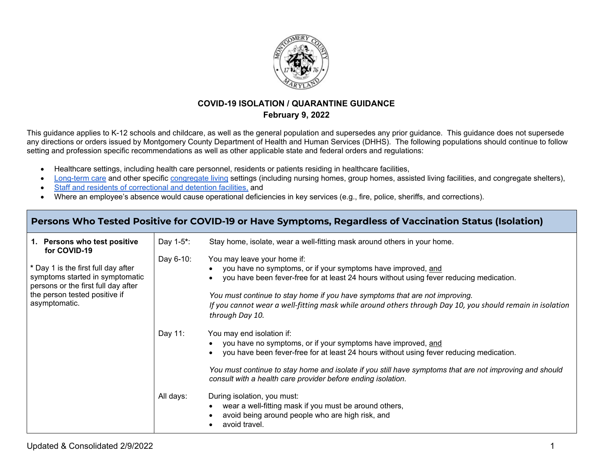

### **COVID-19 ISOLATION / QUARANTINE GUIDANCE February 9, 2022**

This guidance applies to K-12 schools and childcare, as well as the general population and supersedes any prior guidance. This guidance does not supersede any directions or orders issued by Montgomery County Department of Health and Human Services (DHHS). The following populations should continue to follow setting and profession specific recommendations as well as other applicable state and federal orders and regulations:

- Healthcare settings, including health care personnel, residents or patients residing in healthcare facilities,
- [Long-term care](https://www.cdc.gov/coronavirus/2019-ncov/hcp/long-term-care.html) and other specific [congregate living](https://www.cdc.gov/coronavirus/2019-ncov/community/shared-congregate-house/index.html) settings (including nursing homes, group homes, assisted living facilities, and congregate shelters),
- [Staff and residents of correctional and detention facilities,](https://www.cdc.gov/coronavirus/2019-ncov/community/correction-detention/index.html) and
- Where an employee's absence would cause operational deficiencies in key services (e.g., fire, police, sheriffs, and corrections).

#### **Persons Who Tested Positive for COVID-19 or Have Symptoms, Regardless of Vaccination Status (Isolation) 1. Persons who test positive for COVID-19 \*** Day 1 is the first full day after symptoms started in symptomatic persons or the first full day after the person tested positive if asymptomatic. Day 1-5**\***: Stay home, isolate, wear a well-fitting mask around others in your home. Day 6-10: You may leave your home if: • you have no symptoms, or if your symptoms have improved, and • you have been fever-free for at least 24 hours without using fever reducing medication. *You must continue to stay home if you have symptoms that are not improving. If you cannot wear a well-fitting mask while around others through Day 10, you should remain in isolation through Day 10.* Day 11: You may end isolation if: • you have no symptoms, or if your symptoms have improved, and • you have been fever-free for at least 24 hours without using fever reducing medication. *You must continue to stay home and isolate if you still have symptoms that are not improving and should consult with a health care provider before ending isolation.*  All days: During isolation, you must: • wear a well-fitting mask if you must be around others, avoid being around people who are high risk, and • avoid travel.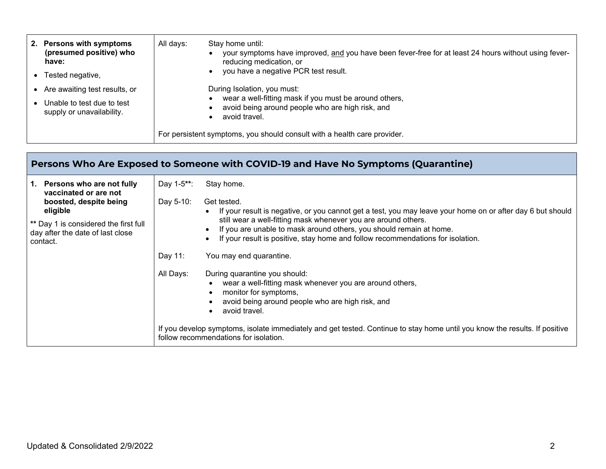| 2. Persons with symptoms<br>(presumed positive) who<br>have: | All days: | Stay home until:<br>your symptoms have improved, and you have been fever-free for at least 24 hours without using fever-<br>reducing medication, or<br>you have a negative PCR test result. |
|--------------------------------------------------------------|-----------|---------------------------------------------------------------------------------------------------------------------------------------------------------------------------------------------|
| Tested negative,                                             |           |                                                                                                                                                                                             |
| Are awaiting test results, or                                |           | During Isolation, you must:                                                                                                                                                                 |
| Unable to test due to test<br>supply or unavailability.      |           | wear a well-fitting mask if you must be around others,<br>avoid being around people who are high risk, and<br>avoid travel.                                                                 |
|                                                              |           | For persistent symptoms, you should consult with a health care provider.                                                                                                                    |

| Persons Who Are Exposed to Someone with COVID-19 and Have No Symptoms (Quarantine)                                          |                      |                                                                                                                                                                                                                                                                                                                                                                                  |  |  |  |
|-----------------------------------------------------------------------------------------------------------------------------|----------------------|----------------------------------------------------------------------------------------------------------------------------------------------------------------------------------------------------------------------------------------------------------------------------------------------------------------------------------------------------------------------------------|--|--|--|
| 1. Persons who are not fully<br>vaccinated or are not                                                                       | Day 1-5**:           | Stay home.                                                                                                                                                                                                                                                                                                                                                                       |  |  |  |
| boosted, despite being<br>eligible<br>** Day 1 is considered the first full<br>day after the date of last close<br>contact. | Day 5-10:<br>Day 11: | Get tested.<br>If your result is negative, or you cannot get a test, you may leave your home on or after day 6 but should<br>still wear a well-fitting mask whenever you are around others.<br>If you are unable to mask around others, you should remain at home.<br>If your result is positive, stay home and follow recommendations for isolation.<br>You may end quarantine. |  |  |  |
|                                                                                                                             | All Days:            | During quarantine you should:<br>wear a well-fitting mask whenever you are around others,<br>monitor for symptoms,<br>avoid being around people who are high risk, and<br>avoid travel.<br>If you develop symptoms, isolate immediately and get tested. Continue to stay home until you know the results. If positive<br>follow recommendations for isolation.                   |  |  |  |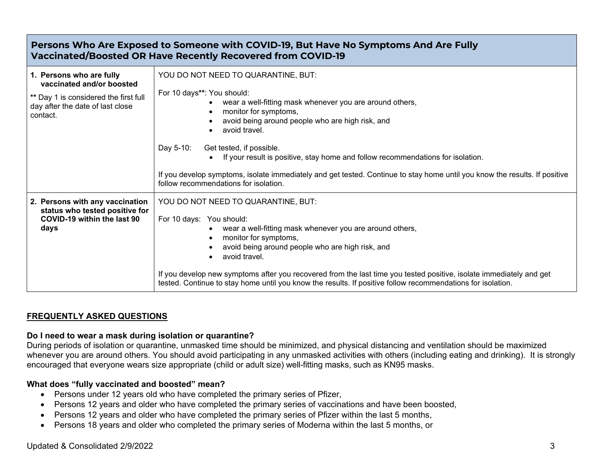# **Persons Who Are Exposed to Someone with COVID-19, But Have No Symptoms And Are Fully Vaccinated/Boosted OR Have Recently Recovered from COVID-19**

| 1. Persons who are fully<br>vaccinated and/or boosted<br>** Day 1 is considered the first full<br>day after the date of last close<br>contact. | YOU DO NOT NEED TO QUARANTINE, BUT:<br>For 10 days**: You should:<br>wear a well-fitting mask whenever you are around others,<br>monitor for symptoms,<br>$\bullet$<br>avoid being around people who are high risk, and<br>avoid travel.<br>Day 5-10:<br>Get tested, if possible.<br>If your result is positive, stay home and follow recommendations for isolation.<br>If you develop symptoms, isolate immediately and get tested. Continue to stay home until you know the results. If positive       |  |
|------------------------------------------------------------------------------------------------------------------------------------------------|----------------------------------------------------------------------------------------------------------------------------------------------------------------------------------------------------------------------------------------------------------------------------------------------------------------------------------------------------------------------------------------------------------------------------------------------------------------------------------------------------------|--|
| 2. Persons with any vaccination<br>status who tested positive for<br>COVID-19 within the last 90<br>days                                       | follow recommendations for isolation.<br>YOU DO NOT NEED TO QUARANTINE, BUT:<br>For 10 days: You should:<br>wear a well-fitting mask whenever you are around others,<br>monitor for symptoms,<br>avoid being around people who are high risk, and<br>avoid travel.<br>If you develop new symptoms after you recovered from the last time you tested positive, isolate immediately and get<br>tested. Continue to stay home until you know the results. If positive follow recommendations for isolation. |  |

# **FREQUENTLY ASKED QUESTIONS**

#### **Do I need to wear a mask during isolation or quarantine?**

During periods of isolation or quarantine, unmasked time should be minimized, and physical distancing and ventilation should be maximized whenever you are around others. You should avoid participating in any unmasked activities with others (including eating and drinking). It is strongly encouraged that everyone wears size appropriate (child or adult size) well-fitting masks, such as KN95 masks.

#### **What does "fully vaccinated and boosted" mean?**

- Persons under 12 years old who have completed the primary series of Pfizer,
- Persons 12 years and older who have completed the primary series of vaccinations and have been boosted,
- Persons 12 years and older who have completed the primary series of Pfizer within the last 5 months,
- Persons 18 years and older who completed the primary series of Moderna within the last 5 months, or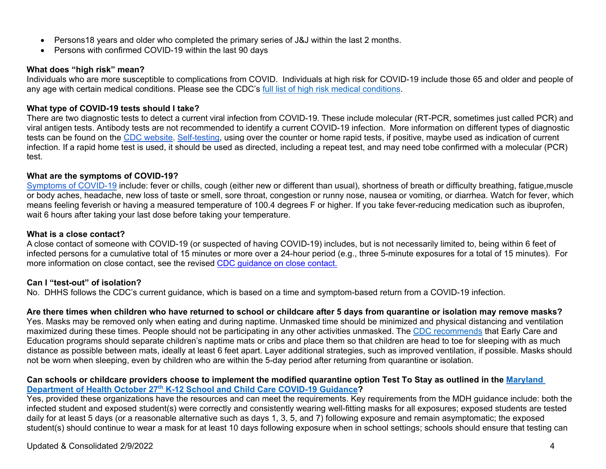- Persons18 years and older who completed the primary series of J&J within the last 2 months.
- Persons with confirmed COVID-19 within the last 90 days

### **What does "high risk" mean?**

Individuals who are more susceptible to complications from COVID. Individuals at high risk for COVID-19 include those 65 and older and people of any age with certain medical conditions. Please see the CDC's [full list of high risk medical conditions.](https://www.cdc.gov/coronavirus/2019-ncov/need-extra-precautions/people-with-medical-conditions.html)

#### **What type of COVID-19 tests should I take?**

There are two diagnostic tests to detect a current viral infection from COVID-19. These include molecular (RT-PCR, sometimes just called PCR) and viral antigen tests. Antibody tests are not recommended to identify a current COVID-19 infection. More information on different types of diagnostic tests can be found on the [CDC website.](https://www.cdc.gov/coronavirus/2019-ncov/symptoms-testing/testing.html) [Self-testing,](https://www.cdc.gov/coronavirus/2019-ncov/testing/self-testing.html) using over the counter or home rapid tests, if positive, maybe used as indication of current infection. If a rapid home test is used, it should be used as directed, including a repeat test, and may need tobe confirmed with a molecular (PCR) test.

#### **What are the symptoms of COVID-19?**

[Symptoms](https://www.cdc.gov/coronavirus/2019-ncov/symptoms-testing/symptoms.html) of COVID-19 include: fever or chills, cough (either new or different than usual), shortness of breath or difficulty breathing, fatigue, muscle or body aches, headache, new loss of taste or smell, sore throat, congestion or runny nose, nausea or vomiting, or diarrhea. Watch for fever, which means feeling feverish or having a measured temperature of 100.4 degrees F or higher. If you take fever-reducing medication such as ibuprofen, wait 6 hours after taking your last dose before taking your temperature.

#### **What is a close contact?**

A close contact of someone with COVID-19 (or suspected of having COVID-19) includes, but is not necessarily limited to, being within 6 feet of infected persons for a cumulative total of 15 minutes or more over a 24-hour period (e.g., three 5-minute exposures for a total of 15 minutes). For more information on close contact, see the revised [CDC guidance on close contact.](https://www.cdc.gov/coronavirus/2019-ncov/php/contact-tracing/contact-tracing-plan/appendix.html#contact)

#### **Can I "test-out" of isolation?**

No. DHHS follows the CDC's current guidance, which is based on a time and symptom-based return from a COVID-19 infection.

### **Are there times when children who have returned to school or childcare after 5 days from quarantine or isolation may remove masks?**

Yes. Masks may be removed only when eating and during naptime. Unmasked time should be minimized and physical distancing and ventilation maximized during these times. People should not be participating in any other activities unmasked. The [CDC recommends](https://www.cdc.gov/coronavirus/2019-ncov/community/schools-childcare/child-care-guidance.html#masking) that Early Care and Education programs should separate children's naptime mats or cribs and place them so that children are head to toe for sleeping with as much distance as possible between mats, ideally at least 6 feet apart. Layer additional strategies, such as improved ventilation, if possible. Masks should not be worn when sleeping, even by children who are within the 5-day period after returning from quarantine or isolation.

#### **Can schools or childcare providers choose to implement the modified quarantine option Test To Stay as outlined in the [Maryland](https://health.maryland.gov/phpa/Documents/K12%20School%20and%20Childcare%20COVID-19%20Guidance_10.27.21.pdf)  Department of Health October 27th [K-12 School and Child Care COVID-19 Guidance?](https://health.maryland.gov/phpa/Documents/K12%20School%20and%20Childcare%20COVID-19%20Guidance_10.27.21.pdf)**

Yes, provided these organizations have the resources and can meet the requirements. Key requirements from the MDH guidance include: both the infected student and exposed student(s) were correctly and consistently wearing well-fitting masks for all exposures; exposed students are tested daily for at least 5 days (or a reasonable alternative such as days 1, 3, 5, and 7) following exposure and remain asymptomatic; the exposed student(s) should continue to wear a mask for at least 10 days following exposure when in school settings; schools should ensure that testing can